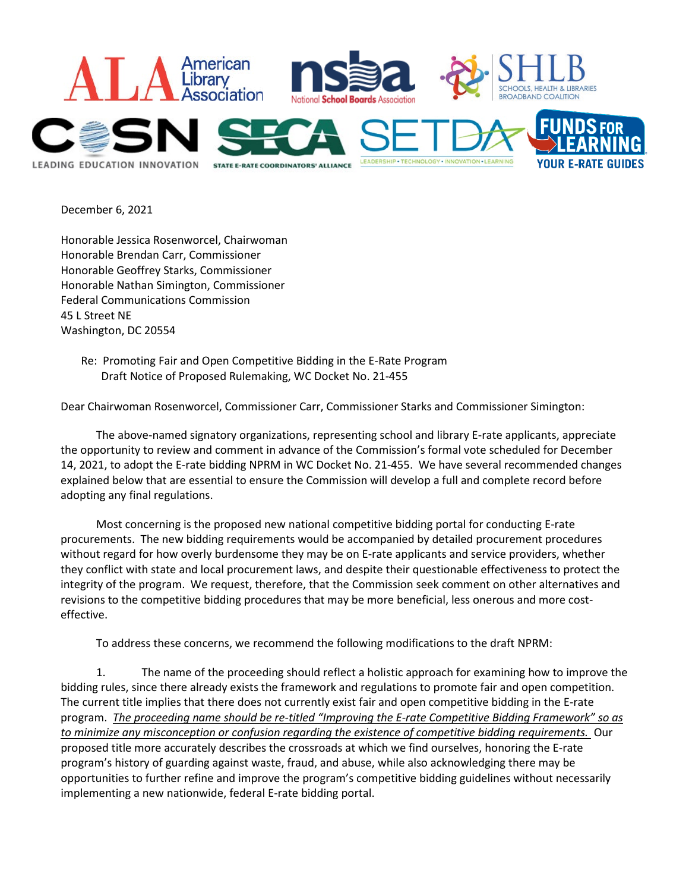

December 6, 2021

Honorable Jessica Rosenworcel, Chairwoman Honorable Brendan Carr, Commissioner Honorable Geoffrey Starks, Commissioner Honorable Nathan Simington, Commissioner Federal Communications Commission 45 L Street NE Washington, DC 20554

Re: Promoting Fair and Open Competitive Bidding in the E-Rate Program Draft Notice of Proposed Rulemaking, WC Docket No. 21-455

Dear Chairwoman Rosenworcel, Commissioner Carr, Commissioner Starks and Commissioner Simington:

The above-named signatory organizations, representing school and library E-rate applicants, appreciate the opportunity to review and comment in advance of the Commission's formal vote scheduled for December 14, 2021, to adopt the E-rate bidding NPRM in WC Docket No. 21-455. We have several recommended changes explained below that are essential to ensure the Commission will develop a full and complete record before adopting any final regulations.

Most concerning is the proposed new national competitive bidding portal for conducting E-rate procurements. The new bidding requirements would be accompanied by detailed procurement procedures without regard for how overly burdensome they may be on E-rate applicants and service providers, whether they conflict with state and local procurement laws, and despite their questionable effectiveness to protect the integrity of the program. We request, therefore, that the Commission seek comment on other alternatives and revisions to the competitive bidding procedures that may be more beneficial, less onerous and more costeffective.

To address these concerns, we recommend the following modifications to the draft NPRM:

1. The name of the proceeding should reflect a holistic approach for examining how to improve the bidding rules, since there already exists the framework and regulations to promote fair and open competition. The current title implies that there does not currently exist fair and open competitive bidding in the E-rate program. *The proceeding name should be re-titled "Improving the E-rate Competitive Bidding Framework" so as to minimize any misconception or confusion regarding the existence of competitive bidding requirements.* Our proposed title more accurately describes the crossroads at which we find ourselves, honoring the E-rate program's history of guarding against waste, fraud, and abuse, while also acknowledging there may be opportunities to further refine and improve the program's competitive bidding guidelines without necessarily implementing a new nationwide, federal E-rate bidding portal.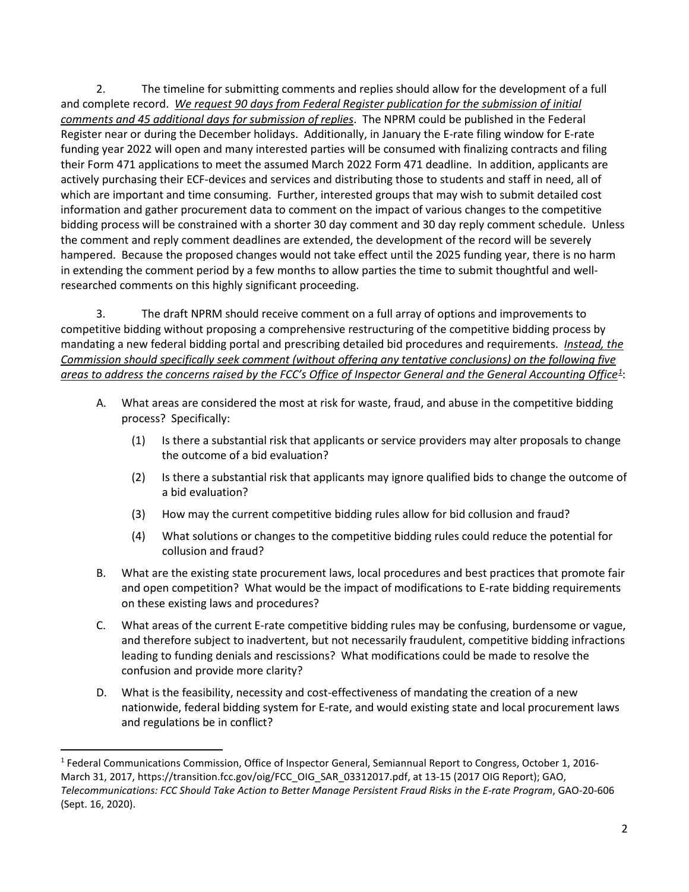2. The timeline for submitting comments and replies should allow for the development of a full and complete record. *We request 90 days from Federal Register publication for the submission of initial comments and 45 additional days for submission of replies*. The NPRM could be published in the Federal Register near or during the December holidays. Additionally, in January the E-rate filing window for E-rate funding year 2022 will open and many interested parties will be consumed with finalizing contracts and filing their Form 471 applications to meet the assumed March 2022 Form 471 deadline. In addition, applicants are actively purchasing their ECF-devices and services and distributing those to students and staff in need, all of which are important and time consuming. Further, interested groups that may wish to submit detailed cost information and gather procurement data to comment on the impact of various changes to the competitive bidding process will be constrained with a shorter 30 day comment and 30 day reply comment schedule. Unless the comment and reply comment deadlines are extended, the development of the record will be severely hampered. Because the proposed changes would not take effect until the 2025 funding year, there is no harm in extending the comment period by a few months to allow parties the time to submit thoughtful and wellresearched comments on this highly significant proceeding.

3. The draft NPRM should receive comment on a full array of options and improvements to competitive bidding without proposing a comprehensive restructuring of the competitive bidding process by mandating a new federal bidding portal and prescribing detailed bid procedures and requirements. *Instead, the Commission should specifically seek comment (without offering any tentative conclusions) on the following five areas to address the concerns raised by the FCC's Office of Inspector General and the General Accounting Office[1](#page-1-0)* :

- A. What areas are considered the most at risk for waste, fraud, and abuse in the competitive bidding process? Specifically:
	- (1) Is there a substantial risk that applicants or service providers may alter proposals to change the outcome of a bid evaluation?
	- (2) Is there a substantial risk that applicants may ignore qualified bids to change the outcome of a bid evaluation?
	- (3) How may the current competitive bidding rules allow for bid collusion and fraud?
	- (4) What solutions or changes to the competitive bidding rules could reduce the potential for collusion and fraud?
- B. What are the existing state procurement laws, local procedures and best practices that promote fair and open competition? What would be the impact of modifications to E-rate bidding requirements on these existing laws and procedures?
- C. What areas of the current E-rate competitive bidding rules may be confusing, burdensome or vague, and therefore subject to inadvertent, but not necessarily fraudulent, competitive bidding infractions leading to funding denials and rescissions? What modifications could be made to resolve the confusion and provide more clarity?
- D. What is the feasibility, necessity and cost-effectiveness of mandating the creation of a new nationwide, federal bidding system for E-rate, and would existing state and local procurement laws and regulations be in conflict?

<span id="page-1-0"></span><sup>1</sup> Federal Communications Commission, Office of Inspector General, Semiannual Report to Congress, October 1, 2016- March 31, 2017, https://transition.fcc.gov/oig/FCC\_OIG\_SAR\_03312017.pdf, at 13-15 (2017 OIG Report); GAO, *Telecommunications: FCC Should Take Action to Better Manage Persistent Fraud Risks in the E-rate Program*, GAO-20-606 (Sept. 16, 2020).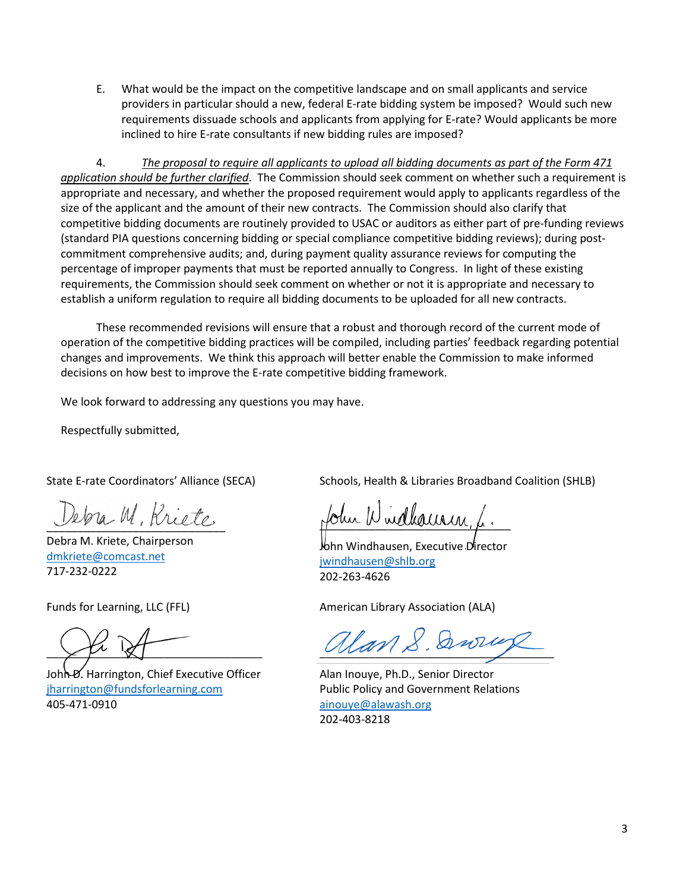E. What would be the impact on the competitive landscape and on small applicants and service providers in particular should a new, federal E-rate bidding system be imposed? Would such new requirements dissuade schools and applicants from applying for E-rate? Would applicants be more inclined to hire E-rate consultants if new bidding rules are imposed?

4. *The proposal to require all applicants to upload all bidding documents as part of the Form 471 application should be further clarified*. The Commission should seek comment on whether such a requirement is appropriate and necessary, and whether the proposed requirement would apply to applicants regardless of the size of the applicant and the amount of their new contracts. The Commission should also clarify that competitive bidding documents are routinely provided to USAC or auditors as either part of pre-funding reviews (standard PIA questions concerning bidding or special compliance competitive bidding reviews); during postcommitment comprehensive audits; and, during payment quality assurance reviews for computing the percentage of improper payments that must be reported annually to Congress. In light of these existing requirements, the Commission should seek comment on whether or not it is appropriate and necessary to establish a uniform regulation to require all bidding documents to be uploaded for all new contracts.

These recommended revisions will ensure that a robust and thorough record of the current mode of operation of the competitive bidding practices will be compiled, including parties' feedback regarding potential changes and improvements. We think this approach will better enable the Commission to make informed decisions on how best to improve the E-rate competitive bidding framework.

We look forward to addressing any questions you may have.

Respectfully submitted,

State E-rate Coordinators' Alliance (SECA)

ebra M, Kriete

Debra M. Kriete, Chairperson [dmkriete@comcast.net](mailto:dmkriete@comcast.net) 717-232-0222

Funds for Learning, LLC (FFL)

 $\rightarrow$   $\mu$  ' $\alpha$  |

John *D*. Harrington, Chief Executive Officer [jharrington@fundsforlearning.com](mailto:jharrington@fundsforlearning.com) 405-471-0910

Schools, Health & Libraries Broadband Coalition (SHLB)

tohu Windhaurin,

John Windhausen, Executive Director [jwindhausen@shlb.org](mailto:jwindhausen@shlb.org) 202-263-4626

American Library Association (ALA)

 $\mathcal{U}$ an S. Dww

Alan Inouye, Ph.D., Senior Director Public Policy and Government Relations [ainouye@alawash.org](mailto:ainouye@alawash.org) 202-403-8218